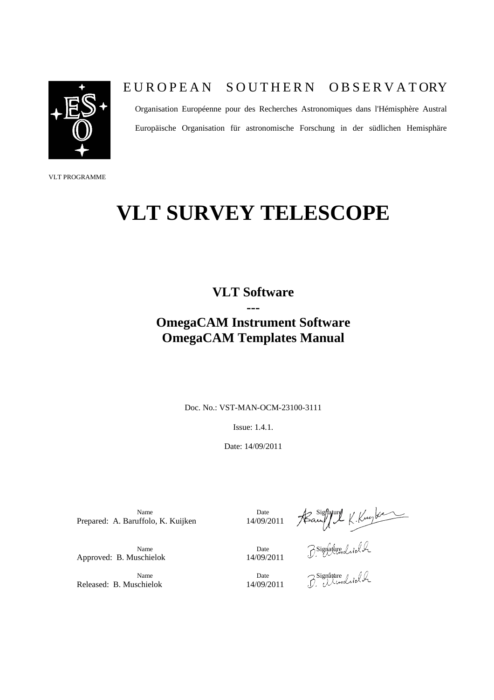

## E UROPEAN SOUTHERN OBSERVATORY

Organisation Européenne pour des Recherches Astronomiques dans l'Hémisphère Austral Europäische Organisation für astronomische Forschung in der südlichen Hemisphäre

VLT PROGRAMME

## **VLT SURVEY TELESCOPE**

**VLT Software ---**

## **OmegaCAM Instrument Software OmegaCAM Templates Manual**

Doc. No.: VST-MAN-OCM-23100-3111

Issue: 1.4.1.

Date: 14/09/2011

Name  $\Box$  Date  $\Box$  Sighature Prepared: A. Baruffolo, K. Kuijken

Name  $\bigcirc$   $\bigcirc$   $\bigcirc$   $\bigcirc$   $\bigcirc$   $\bigcirc$   $\bigcirc$   $\bigcirc$   $\bigcirc$   $\bigcirc$   $\bigcirc$   $\bigcirc$   $\bigcirc$   $\bigcirc$   $\bigcirc$   $\bigcirc$   $\bigcirc$   $\bigcirc$   $\bigcirc$   $\bigcirc$   $\bigcirc$   $\bigcirc$   $\bigcirc$   $\bigcirc$   $\bigcirc$   $\bigcirc$   $\bigcirc$   $\bigcirc$   $\bigcirc$   $\bigcirc$   $\bigcirc$   $\bigcirc$   $\bigcirc$   $\bigcirc$   $\bigcirc$   $\bigcirc$ 

Name Date Date Signature<br>Schielok 14/09/2011 Developed

Released: B. Muschielok 14/09/2011

Approved: B. Muschielok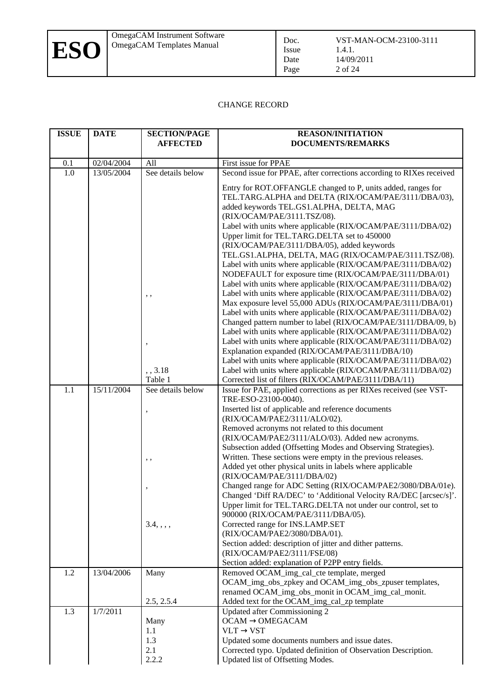#### CHANGE RECORD

Issue Date Page

| <b>ISSUE</b> | <b>DATE</b> | <b>SECTION/PAGE</b><br><b>AFFECTED</b>         | <b>REASON/INITIATION</b><br><b>DOCUMENTS/REMARKS</b>                                                                                                                                                                                                                                                                                                                                                                                                                                                                                                                                                                                                                                                                                                                                                                                                                                                                                                                                                                                                                                                                                                                                              |
|--------------|-------------|------------------------------------------------|---------------------------------------------------------------------------------------------------------------------------------------------------------------------------------------------------------------------------------------------------------------------------------------------------------------------------------------------------------------------------------------------------------------------------------------------------------------------------------------------------------------------------------------------------------------------------------------------------------------------------------------------------------------------------------------------------------------------------------------------------------------------------------------------------------------------------------------------------------------------------------------------------------------------------------------------------------------------------------------------------------------------------------------------------------------------------------------------------------------------------------------------------------------------------------------------------|
| 0.1          | 02/04/2004  | All                                            | First issue for PPAE                                                                                                                                                                                                                                                                                                                                                                                                                                                                                                                                                                                                                                                                                                                                                                                                                                                                                                                                                                                                                                                                                                                                                                              |
| 1.0          | 13/05/2004  | See details below                              | Second issue for PPAE, after corrections according to RIXes received                                                                                                                                                                                                                                                                                                                                                                                                                                                                                                                                                                                                                                                                                                                                                                                                                                                                                                                                                                                                                                                                                                                              |
|              |             | $, \, ,$<br>,,3.18                             | Entry for ROT.OFFANGLE changed to P, units added, ranges for<br>TEL.TARG.ALPHA and DELTA (RIX/OCAM/PAE/3111/DBA/03),<br>added keywords TEL.GS1.ALPHA, DELTA, MAG<br>(RIX/OCAM/PAE/3111.TSZ/08).<br>Label with units where applicable (RIX/OCAM/PAE/3111/DBA/02)<br>Upper limit for TEL.TARG.DELTA set to 450000<br>(RIX/OCAM/PAE/3111/DBA/05), added keywords<br>TEL.GS1.ALPHA, DELTA, MAG (RIX/OCAM/PAE/3111.TSZ/08).<br>Label with units where applicable (RIX/OCAM/PAE/3111/DBA/02)<br>NODEFAULT for exposure time (RIX/OCAM/PAE/3111/DBA/01)<br>Label with units where applicable (RIX/OCAM/PAE/3111/DBA/02)<br>Label with units where applicable (RIX/OCAM/PAE/3111/DBA/02)<br>Max exposure level 55,000 ADUs (RIX/OCAM/PAE/3111/DBA/01)<br>Label with units where applicable (RIX/OCAM/PAE/3111/DBA/02)<br>Changed pattern number to label (RIX/OCAM/PAE/3111/DBA/09, b)<br>Label with units where applicable (RIX/OCAM/PAE/3111/DBA/02)<br>Label with units where applicable (RIX/OCAM/PAE/3111/DBA/02)<br>Explanation expanded (RIX/OCAM/PAE/3111/DBA/10)<br>Label with units where applicable (RIX/OCAM/PAE/3111/DBA/02)<br>Label with units where applicable (RIX/OCAM/PAE/3111/DBA/02) |
|              |             | Table 1                                        | Corrected list of filters (RIX/OCAM/PAE/3111/DBA/11)                                                                                                                                                                                                                                                                                                                                                                                                                                                                                                                                                                                                                                                                                                                                                                                                                                                                                                                                                                                                                                                                                                                                              |
| 1.1          | 15/11/2004  | See details below<br>,<br>$, \, ,$<br>3.4, , , | Issue for PAE, applied corrections as per RIXes received (see VST-<br>TRE-ESO-23100-0040).<br>Inserted list of applicable and reference documents<br>(RIX/OCAM/PAE2/3111/ALO/02).<br>Removed acronyms not related to this document<br>(RIX/OCAM/PAE2/3111/ALO/03). Added new acronyms.<br>Subsection added (Offsetting Modes and Observing Strategies).<br>Written. These sections were empty in the previous releases.<br>Added yet other physical units in labels where applicable<br>(RIX/OCAM/PAE/3111/DBA/02)<br>Changed range for ADC Setting (RIX/OCAM/PAE2/3080/DBA/01e).<br>Changed 'Diff RA/DEC' to 'Additional Velocity RA/DEC [arcsec/s]'.<br>Upper limit for TEL.TARG.DELTA not under our control, set to<br>900000 (RIX/OCAM/PAE/3111/DBA/05).<br>Corrected range for INS.LAMP.SET<br>(RIX/OCAM/PAE2/3080/DBA/01).<br>Section added: description of jitter and dither patterns.<br>(RIX/OCAM/PAE2/3111/FSE/08)<br>Section added: explanation of P2PP entry fields.                                                                                                                                                                                                                  |
| 1.2          | 13/04/2006  | Many                                           | Removed OCAM_img_cal_cte template, merged                                                                                                                                                                                                                                                                                                                                                                                                                                                                                                                                                                                                                                                                                                                                                                                                                                                                                                                                                                                                                                                                                                                                                         |
|              |             | 2.5, 2.5.4                                     | OCAM_img_obs_zpkey and OCAM_img_obs_zpuser templates,<br>renamed OCAM_img_obs_monit in OCAM_img_cal_monit.<br>Added text for the OCAM_img_cal_zp template                                                                                                                                                                                                                                                                                                                                                                                                                                                                                                                                                                                                                                                                                                                                                                                                                                                                                                                                                                                                                                         |
| 1.3          | 1/7/2011    | Many<br>1.1<br>1.3<br>2.1<br>2.2.2             | <b>Updated after Commissioning 2</b><br>$OCAM \rightarrow OMEGACAM$<br>$VLT \rightarrow VST$<br>Updated some documents numbers and issue dates.<br>Corrected typo. Updated definition of Observation Description.<br>Updated list of Offsetting Modes.                                                                                                                                                                                                                                                                                                                                                                                                                                                                                                                                                                                                                                                                                                                                                                                                                                                                                                                                            |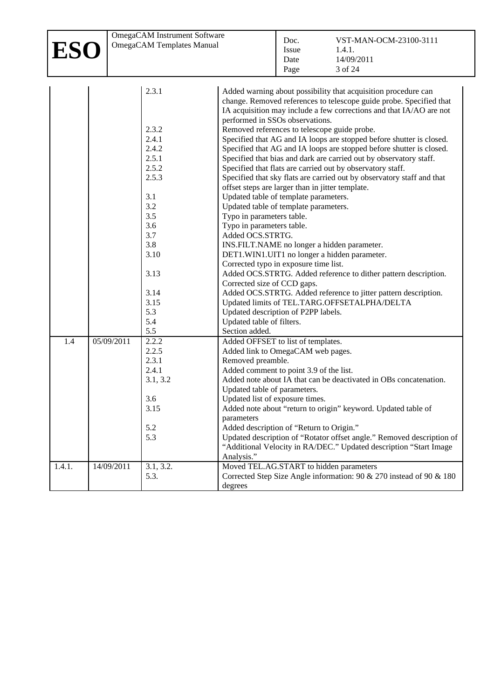| ESO    |            | OmegaCAM Instrument Software<br>OmegaCAM Templates Manual                                                                                                                                                         | VST-MAN-OCM-23100-3111<br>Doc.<br>1.4.1.<br>Issue<br>14/09/2011<br>Date<br>3 of 24<br>Page                                                                                                                                                                                                                                                                                                                                                                                                                                                                                                                                                                                                                                                                                                                                                                                                                                                                                                                                                                                                                                                                                                                                                                                                                                                                                                                                                                                                                                                                                                                              |
|--------|------------|-------------------------------------------------------------------------------------------------------------------------------------------------------------------------------------------------------------------|-------------------------------------------------------------------------------------------------------------------------------------------------------------------------------------------------------------------------------------------------------------------------------------------------------------------------------------------------------------------------------------------------------------------------------------------------------------------------------------------------------------------------------------------------------------------------------------------------------------------------------------------------------------------------------------------------------------------------------------------------------------------------------------------------------------------------------------------------------------------------------------------------------------------------------------------------------------------------------------------------------------------------------------------------------------------------------------------------------------------------------------------------------------------------------------------------------------------------------------------------------------------------------------------------------------------------------------------------------------------------------------------------------------------------------------------------------------------------------------------------------------------------------------------------------------------------------------------------------------------------|
| 1.4    | 05/09/2011 | 2.3.1<br>2.3.2<br>2.4.1<br>2.4.2<br>2.5.1<br>2.5.2<br>2.5.3<br>3.1<br>3.2<br>3.5<br>3.6<br>3.7<br>3.8<br>3.10<br>3.13<br>3.14<br>3.15<br>5.3<br>5.4<br>5.5<br>2.2.2<br>2.2.5<br>2.3.1<br>2.4.1<br>3.1, 3.2<br>3.6 | Added warning about possibility that acquisition procedure can<br>change. Removed references to telescope guide probe. Specified that<br>IA acquisition may include a few corrections and that IA/AO are not<br>performed in SSOs observations.<br>Removed references to telescope guide probe.<br>Specified that AG and IA loops are stopped before shutter is closed.<br>Specified that AG and IA loops are stopped before shutter is closed.<br>Specified that bias and dark are carried out by observatory staff.<br>Specified that flats are carried out by observatory staff.<br>Specified that sky flats are carried out by observatory staff and that<br>offset steps are larger than in jitter template.<br>Updated table of template parameters.<br>Updated table of template parameters.<br>Typo in parameters table.<br>Typo in parameters table.<br>Added OCS.STRTG.<br>INS.FILT.NAME no longer a hidden parameter.<br>DET1.WIN1.UIT1 no longer a hidden parameter.<br>Corrected typo in exposure time list.<br>Added OCS.STRTG. Added reference to dither pattern description.<br>Corrected size of CCD gaps.<br>Added OCS.STRTG. Added reference to jitter pattern description.<br>Updated limits of TEL.TARG.OFFSETALPHA/DELTA<br>Updated description of P2PP labels.<br>Updated table of filters.<br>Section added.<br>Added OFFSET to list of templates.<br>Added link to OmegaCAM web pages.<br>Removed preamble.<br>Added comment to point 3.9 of the list.<br>Added note about IA that can be deactivated in OBs concatenation.<br>Updated table of parameters.<br>Updated list of exposure times. |
|        |            | 3.15<br>5.2<br>5.3                                                                                                                                                                                                | Added note about "return to origin" keyword. Updated table of<br>parameters<br>Added description of "Return to Origin."<br>Updated description of "Rotator offset angle." Removed description of<br>"Additional Velocity in RA/DEC." Updated description "Start Image<br>Analysis."                                                                                                                                                                                                                                                                                                                                                                                                                                                                                                                                                                                                                                                                                                                                                                                                                                                                                                                                                                                                                                                                                                                                                                                                                                                                                                                                     |
| 1.4.1. | 14/09/2011 | 3.1, 3.2.<br>5.3.                                                                                                                                                                                                 | Moved TEL.AG.START to hidden parameters<br>Corrected Step Size Angle information: 90 & 270 instead of 90 & 180<br>degrees                                                                                                                                                                                                                                                                                                                                                                                                                                                                                                                                                                                                                                                                                                                                                                                                                                                                                                                                                                                                                                                                                                                                                                                                                                                                                                                                                                                                                                                                                               |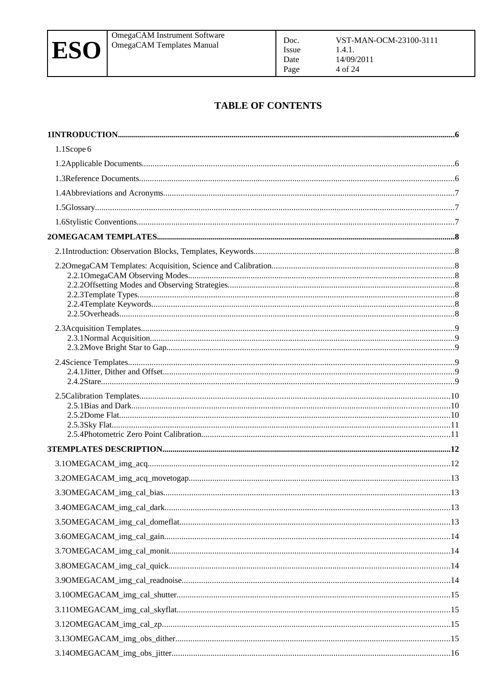

### **TABLE OF CONTENTS**

Doc.

Issue

Date

Page

| 1.1Scope 6 |  |
|------------|--|
|            |  |
|            |  |
|            |  |
|            |  |
|            |  |
|            |  |
|            |  |
|            |  |
|            |  |
|            |  |
|            |  |
|            |  |
|            |  |
|            |  |
|            |  |
|            |  |
|            |  |
|            |  |
|            |  |
|            |  |
|            |  |
|            |  |
|            |  |
|            |  |
|            |  |
|            |  |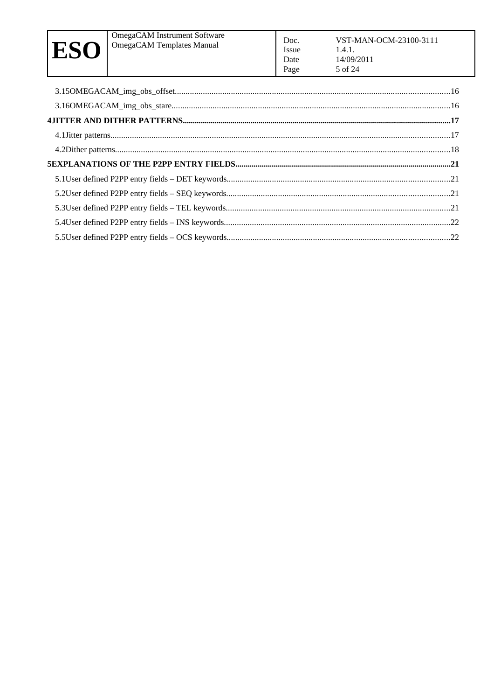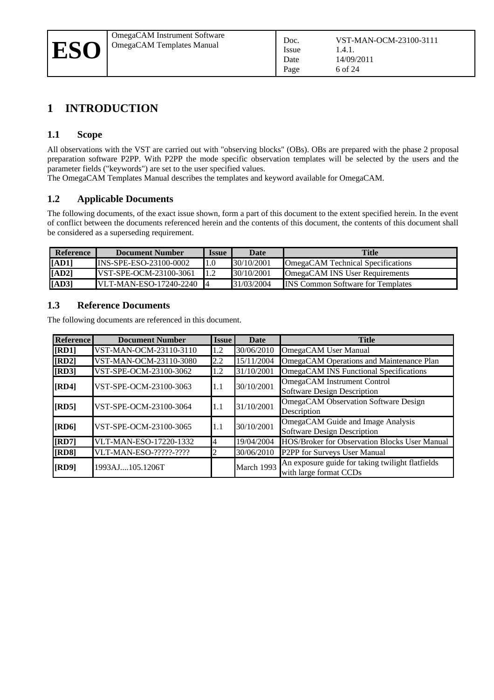## **1 INTRODUCTION**

#### **1.1 Scope**

All observations with the VST are carried out with "observing blocks" (OBs). OBs are prepared with the phase 2 proposal preparation software P2PP. With P2PP the mode specific observation templates will be selected by the users and the parameter fields ("keywords") are set to the user specified values.

The OmegaCAM Templates Manual describes the templates and keyword available for OmegaCAM.

#### <span id="page-5-1"></span>**1.2 Applicable Documents**

The following documents, of the exact issue shown, form a part of this document to the extent specified herein. In the event of conflict between the documents referenced herein and the contents of this document, the contents of this document shall be considered as a superseding requirement.

| Reference | Document Number                | <b>Issue</b> | <b>Date</b> | <b>Title</b>                              |
|-----------|--------------------------------|--------------|-------------|-------------------------------------------|
| [AD1]     | IINS-SPE-ESO-23100-0002        | $1.0\,$      | 130/10/2001 | OmegaCAM Technical Specifications         |
| [AD2]     | <b>IVST-SPE-OCM-23100-3061</b> |              | 130/10/2001 | <b>OmegaCAM INS User Requirements</b>     |
| [AD3]     | <b>IVLT-MAN-ESO-17240-2240</b> |              | 31/03/2004  | <b>IINS Common Software for Templates</b> |

#### <span id="page-5-3"></span><span id="page-5-0"></span>**1.3 Reference Documents**

The following documents are referenced in this document.

<span id="page-5-6"></span><span id="page-5-5"></span><span id="page-5-4"></span><span id="page-5-2"></span>

| <b>Reference</b> | <b>Document Number</b> | <b>Issue</b> | <b>Date</b> | <b>Title</b>                                                               |
|------------------|------------------------|--------------|-------------|----------------------------------------------------------------------------|
| [RD1]            | VST-MAN-OCM-23110-3110 | 1.2          | 30/06/2010  | OmegaCAM User Manual                                                       |
| [RD2]            | VST-MAN-OCM-23110-3080 | 2.2          | 15/11/2004  | OmegaCAM Operations and Maintenance Plan                                   |
| [RD3]            | VST-SPE-OCM-23100-3062 | 1.2          | 31/10/2001  | OmegaCAM INS Functional Specifications                                     |
| [RD4]            | VST-SPE-OCM-23100-3063 | 1.1          | 30/10/2001  | OmegaCAM Instrument Control<br><b>Software Design Description</b>          |
| <b>[RD5]</b>     | VST-SPE-OCM-23100-3064 | 1.1          | 31/10/2001  | OmegaCAM Observation Software Design<br>Description                        |
| [RD6]            | VST-SPE-OCM-23100-3065 | 1.1          | 30/10/2001  | OmegaCAM Guide and Image Analysis<br><b>Software Design Description</b>    |
| [RD7]            | VLT-MAN-ESO-17220-1332 | 4            | 19/04/2004  | HOS/Broker for Observation Blocks User Manual                              |
| [RD8]            | VLT-MAN-ESO-?????-???? |              | 30/06/2010  | P2PP for Surveys User Manual                                               |
| [RD9]            | 1993AJ105.1206T        |              | March 1993  | An exposure guide for taking twilight flatfields<br>with large format CCDs |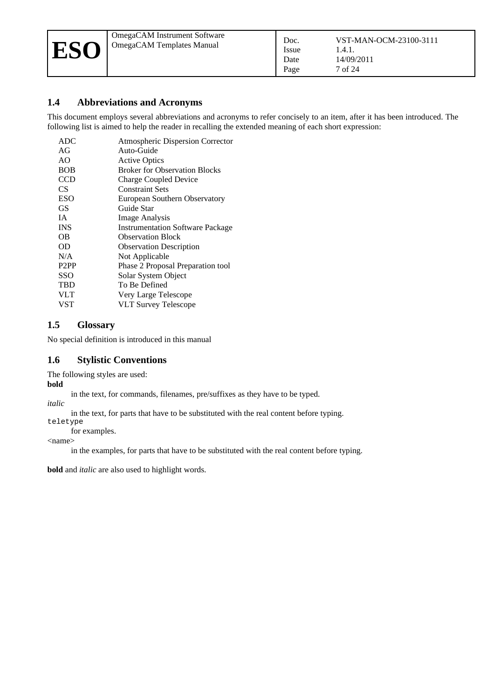#### **1.4 Abbreviations and Acronyms**

This document employs several abbreviations and acronyms to refer concisely to an item, after it has been introduced. The following list is aimed to help the reader in recalling the extended meaning of each short expression:

| <b>ADC</b>        | <b>Atmospheric Dispersion Corrector</b> |
|-------------------|-----------------------------------------|
| AG                | Auto-Guide                              |
| AO                | <b>Active Optics</b>                    |
| <b>BOB</b>        | <b>Broker for Observation Blocks</b>    |
| <b>CCD</b>        | <b>Charge Coupled Device</b>            |
| CS                | <b>Constraint Sets</b>                  |
| ESO               | European Southern Observatory           |
| GS                | Guide Star                              |
| ĪΑ                | <b>Image Analysis</b>                   |
| <b>INS</b>        | <b>Instrumentation Software Package</b> |
| OΒ                | <b>Observation Block</b>                |
| OD                | <b>Observation Description</b>          |
| N/A               | Not Applicable                          |
| P <sub>2</sub> PP | Phase 2 Proposal Preparation tool       |
| SSO               | Solar System Object                     |
| TBD               | To Be Defined                           |
| <b>VLT</b>        | Very Large Telescope                    |
| VST               | <b>VLT Survey Telescope</b>             |

#### **1.5 Glossary**

No special definition is introduced in this manual

#### **1.6 Stylistic Conventions**

The following styles are used:

#### **bold**

in the text, for commands, filenames, pre/suffixes as they have to be typed.

*italic*  in the text, for parts that have to be substituted with the real content before typing.

teletype

for examples.

<name>

in the examples, for parts that have to be substituted with the real content before typing.

**bold** and *italic* are also used to highlight words.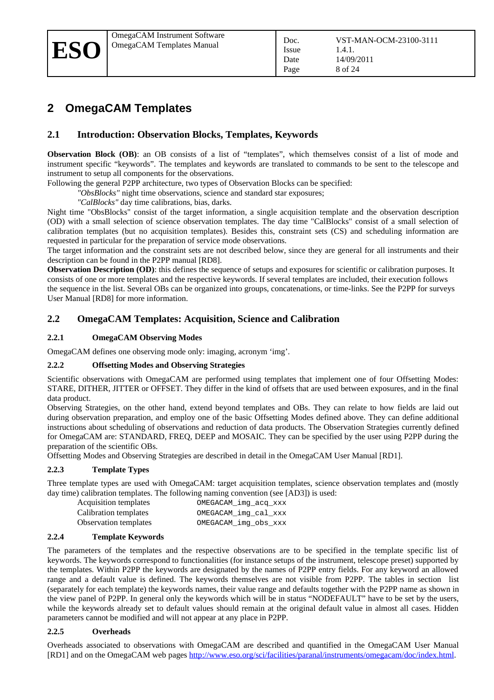## **2 OmegaCAM Templates**

#### **2.1 Introduction: Observation Blocks, Templates, Keywords**

**Observation Block (OB)**: an OB consists of a list of "templates", which themselves consist of a list of mode and instrument specific "keywords". The templates and keywords are translated to commands to be sent to the telescope and instrument to setup all components for the observations.

Following the general P2PP architecture, two types of Observation Blocks can be specified:

*"ObsBlocks"* night time observations, science and standard star exposures;

*"CalBlocks"* day time calibrations, bias, darks.

Night time "ObsBlocks" consist of the target information, a single acquisition template and the observation description (OD) with a small selection of science observation templates. The day time "CalBlocks" consist of a small selection of calibration templates (but no acquisition templates). Besides this, constraint sets (CS) and scheduling information are requested in particular for the preparation of service mode observations.

The target information and the constraint sets are not described below, since they are general for all instruments and their description can be found in the P2PP manual [\[RD8\].](#page-5-4)

**Observation Description (OD)**: this defines the sequence of setups and exposures for scientific or calibration purposes. It consists of one or more templates and the respective keywords. If several templates are included, their execution follows the sequence in the list. Several OBs can be organized into groups, concatenations, or time-links. See the P2PP for surveys User Manual [\[RD8\]](#page-5-4) for more information.

#### **2.2 OmegaCAM Templates: Acquisition, Science and Calibration**

#### **2.2.1 OmegaCAM Observing Modes**

OmegaCAM defines one observing mode only: imaging, acronym 'img'.

#### **2.2.2 Offsetting Modes and Observing Strategies**

Scientific observations with OmegaCAM are performed using templates that implement one of four Offsetting Modes: STARE, DITHER, JITTER or OFFSET. They differ in the kind of offsets that are used between exposures, and in the final data product.

Observing Strategies, on the other hand, extend beyond templates and OBs. They can relate to how fields are laid out during observation preparation, and employ one of the basic Offsetting Modes defined above. They can define additional instructions about scheduling of observations and reduction of data products. The Observation Strategies currently defined for OmegaCAM are: STANDARD, FREQ, DEEP and MOSAIC. They can be specified by the user using P2PP during the preparation of the scientific OBs.

Offsetting Modes and Observing Strategies are described in detail in the OmegaCAM User Manual [\[RD1\].](#page-5-2)

#### **2.2.3 Template Types**

Three template types are used with OmegaCAM: target acquisition templates, science observation templates and (mostly day time) calibration templates. The following naming convention (see [\[AD3\]\)](#page-5-3) is used:

| Acquisition templates | OMEGACAM_img_acq_xxx |
|-----------------------|----------------------|
| Calibration templates | OMEGACAM_img_cal_xxx |
| Observation templates | OMEGACAM_img_obs_xxx |

#### **2.2.4 Template Keywords**

The parameters of the templates and the respective observations are to be specified in the template specific list of keywords. The keywords correspond to functionalities (for instance setups of the instrument, telescope preset) supported by the templates. Within P2PP the keywords are designated by the names of P2PP entry fields. For any keyword an allowed range and a default value is defined. The keywords themselves are not visible from P2PP. The tables in sectionlist (separately for each template) the keywords names, their value range and defaults together with the P2PP name as shown in the view panel of P2PP. In general only the keywords which will be in status "NODEFAULT" have to be set by the users, while the keywords already set to default values should remain at the original default value in almost all cases. Hidden parameters cannot be modified and will not appear at any place in P2PP.

#### **2.2.5 Overheads**

Overheads associated to observations with OmegaCAM are described and quantified in the OmegaCAM User Manual [\[RD1\]](#page-5-2) and on the OmegaCAM web pages [http://www.eso.org/sci/facilities/paranal/instruments/omegacam/doc/index.html.](http://www.eso.org/sci/facilities/paranal/instruments/omegacam/doc/index.html)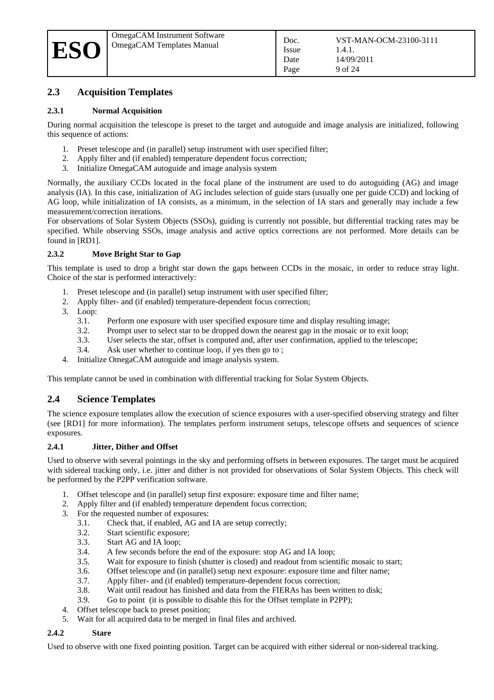#### <span id="page-8-1"></span>**2.3 Acquisition Templates**

#### <span id="page-8-3"></span>**2.3.1 Normal Acquisition**

During normal acquisition the telescope is preset to the target and autoguide and image analysis are initialized, following this sequence of actions:

- 1. Preset telescope and (in parallel) setup instrument with user specified filter;
- 2. Apply filter and (if enabled) temperature dependent focus correction;
- 3. Initialize OmegaCAM autoguide and image analysis system

Normally, the auxiliary CCDs located in the focal plane of the instrument are used to do autoguiding (AG) and image analysis (IA). In this case, initialization of AG includes selection of guide stars (usually one per guide CCD) and locking of AG loop, while initialization of IA consists, as a minimum, in the selection of IA stars and generally may include a few measurement/correction iterations.

For observations of Solar System Objects (SSOs), guiding is currently not possible, but differential tracking rates may be specified. While observing SSOs, image analysis and active optics corrections are not performed. More details can be found in [\[RD1\].](#page-5-2)

#### **2.3.2 Move Bright Star to Gap**

This template is used to drop a bright star down the gaps between CCDs in the mosaic, in order to reduce stray light. Choice of the star is performed interactively:

- 1. Preset telescope and (in parallel) setup instrument with user specified filter;
- 2. Apply filter- and (if enabled) temperature-dependent focus correction;
- <span id="page-8-2"></span>3. Loop:
	- 3.1. Perform one exposure with user specified exposure time and display resulting image;
	- 3.2. Prompt user to select star to be dropped down the nearest gap in the mosaic or to exit loop;
	- 3.3. User selects the star, offset is computed and, after user confirmation, applied to the telescope;
	- 3.4. Ask user whether to continue loop, if yes then go to [;](#page-8-2)
- 4. Initialize OmegaCAM autoguide and image analysis system.

This template cannot be used in combination with differential tracking for Solar System Objects.

#### <span id="page-8-0"></span>**2.4 Science Templates**

The science exposure templates allow the execution of science exposures with a user-specified observing strategy and filter (see [\[RD1\]](#page-5-2) for more information). The templates perform instrument setups, telescope offsets and sequences of science exposures.

#### **2.4.1 Jitter, Dither and Offset**

Used to observe with several pointings in the sky and performing offsets in between exposures. The target must be acquired with sidereal tracking only, i.e. jitter and dither is not provided for observations of Solar System Objects. This check will be performed by the P2PP verification software.

- 1. Offset telescope and (in parallel) setup first exposure: exposure time and filter name;
- 2. Apply filter and (if enabled) temperature dependent focus correction;
- 3. For the requested number of exposures:
	- 3.1. Check that, if enabled, AG and IA are setup correctly;
	- 3.2. Start scientific exposure;
	- 3.3. Start AG and IA loop;
	- 3.4. A few seconds before the end of the exposure: stop AG and IA loop;
	- 3.5. Wait for exposure to finish (shutter is closed) and readout from scientific mosaic to start;
	- 3.6. Offset telescope and (in parallel) setup next exposure: exposure time and filter name;
	- 3.7. Apply filter- and (if enabled) temperature-dependent focus correction;
	- 3.8. Wait until readout has finished and data from the FIERAs has been written to disk;
	- 3.9. Go to point(it is possible to disable this for the Offset template in P2PP);
- 4. Offset telescope back to preset position;
- 5. Wait for all acquired data to be merged in final files and archived.

#### **2.4.2 Stare**

Used to observe with one fixed pointing position. Target can be acquired with either sidereal or non-sidereal tracking.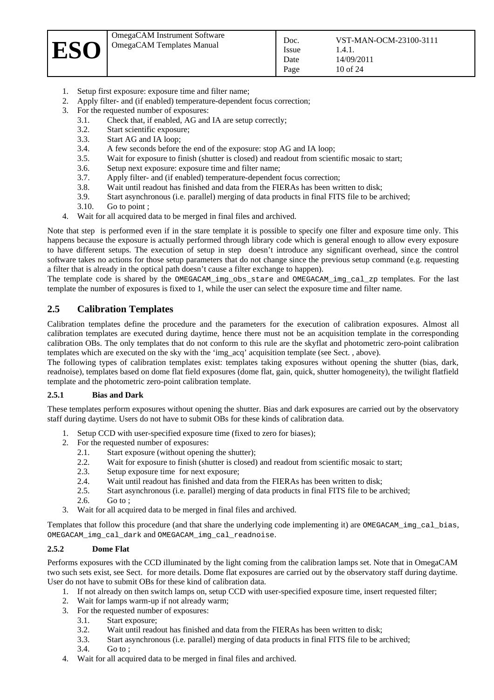

- 1. Setup first exposure: exposure time and filter name;
- 2. Apply filter- and (if enabled) temperature-dependent focus correction;
- <span id="page-9-1"></span>3. For the requested number of exposures:
	- 3.1. Check that, if enabled, AG and IA are setup correctly;
	- 3.2. Start scientific exposure;
	- 3.3. Start AG and IA loop;
	- 3.4. A few seconds before the end of the exposure: stop AG and IA loop;
	- 3.5. Wait for exposure to finish (shutter is closed) and readout from scientific mosaic to start;
	- 3.6. Setup next exposure: exposure time and filter name;
	- 3.7. Apply filter- and (if enabled) temperature-dependent focus correction;
	- 3.8. Wait until readout has finished and data from the FIERAs has been written to disk;
	- 3.9. Start asynchronous (i.e. parallel) merging of data products in final FITS file to be archived;
	- 3.10. Go to point [;](#page-9-1)
- <span id="page-9-4"></span>4. Wait for all acquired data to be merged in final files and archived.

Note that stepis performed even if in the stare template it is possible to specify one filter and exposure time only. This happens because the exposure is actually performed through library code which is general enough to allow every exposure to have different setups. The execution of setup in stepdoesn't introduce any significant overhead, since the control software takes no actions for those setup parameters that do not change since the previous setup command (e.g. requesting a filter that is already in the optical path doesn't cause a filter exchange to happen).

The template code is shared by the OMEGACAM\_img\_obs\_stare and OMEGACAM\_img\_cal\_zp templates. For the last template the number of exposures is fixed to 1, while the user can select the exposure time and filter name.

#### <span id="page-9-0"></span>**2.5 Calibration Templates**

Calibration templates define the procedure and the parameters for the execution of calibration exposures. Almost all calibration templates are executed during daytime, hence there must not be an acquisition template in the corresponding calibration OBs. The only templates that do not conform to this rule are the skyflat and photometric zero-point calibration templates which are executed on the sky with the 'img\_acq' acquisition template (see Sect. [, above\)](#page-8-3).

The following types of calibration templates exist: templates taking exposures without opening the shutter (bias, dark, readnoise), templates based on dome flat field exposures (dome flat, gain, quick, shutter homogeneity), the twilight flatfield template and the photometric zero-point calibration template.

#### **2.5.1 Bias and Dark**

These templates perform exposures without opening the shutter. Bias and dark exposures are carried out by the observatory staff during daytime. Users do not have to submit OBs for these kinds of calibration data.

- 1. Setup CCD with user-specified exposure time (fixed to zero for biases);
- <span id="page-9-3"></span>2. For the requested number of exposures:
	- 2.1. Start exposure (without opening the shutter);
	- 2.2. Wait for exposure to finish (shutter is closed) and readout from scientific mosaic to start;
	- 2.3. Setup exposure time for next exposure;
	- 2.4. Wait until readout has finished and data from the FIERAs has been written to disk;
	- 2.5. Start asynchronous (i.e. parallel) merging of data products in final FITS file to be archived;
	- 2.6. Go to [;](#page-9-3)
- 3. Wait for all acquired data to be merged in final files and archived.

Templates that follow this procedure (and that share the underlying code implementing it) are OMEGACAM\_img\_cal\_bias, OMEGACAM\_img\_cal\_dark and OMEGACAM\_img\_cal\_readnoise.

#### **2.5.2 Dome Flat**

Performs exposures with the CCD illuminated by the light coming from the calibration lamps set. Note that in OmegaCAM two such sets exist, see Sect.for more details. Dome flat exposures are carried out by the observatory staff during daytime. User do not have to submit OBs for these kind of calibration data.

- 1. If not already on then switch lamps on, setup CCD with user-specified exposure time, insert requested filter;
- <span id="page-9-2"></span>2. Wait for lamps warm-up if not already warm;<br>3. For the requested number of exposures:
	- 3. For the requested number of exposures:
		- 3.1. Start exposure;
		- 3.2. Wait until readout has finished and data from the FIERAs has been written to disk;
	- 3.3. Start asynchronous (i.e. parallel) merging of data products in final FITS file to be archived;
		- 3.4. Go to [;](#page-9-2)
- 4. Wait for all acquired data to be merged in final files and archived.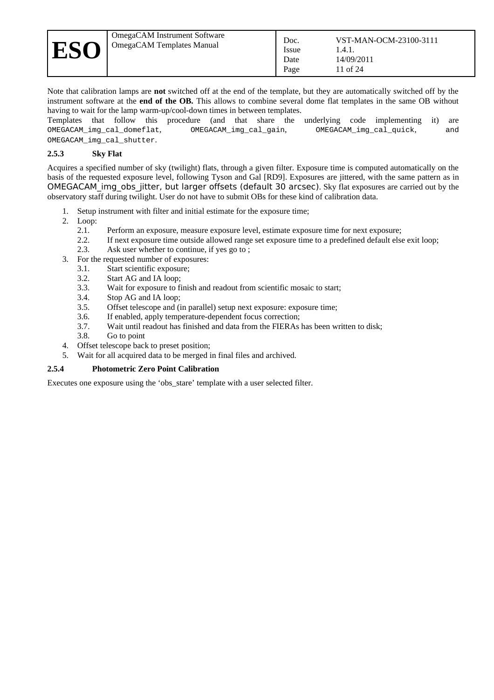Note that calibration lamps are **not** switched off at the end of the template, but they are automatically switched off by the instrument software at the **end of the OB.** This allows to combine several dome flat templates in the same OB without having to wait for the lamp warm-up/cool-down times in between templates.

Templates that follow this procedure (and that share the underlying code implementing it) are OMEGACAM\_img\_cal\_domeflat, OMEGACAM\_img\_cal\_gain, OMEGACAM\_img\_cal\_quick, and OMEGACAM\_img\_cal\_shutter.

#### **2.5.3 Sky Flat**

Acquires a specified number of sky (twilight) flats, through a given filter. Exposure time is computed automatically on the basis of the requested exposure level, following Tyson and Gal [\[RD9\].](#page-5-5) Exposures are jittered, with the same pattern as in OMEGACAM img\_obs\_jitter, but larger offsets (default 30 arcsec). Sky flat exposures are carried out by the observatory staff during twilight. User do not have to submit OBs for these kind of calibration data.

- 1. Setup instrument with filter and initial estimate for the exposure time;
- <span id="page-10-1"></span>2. Loop:
	- 2.1. Perform an exposure, measure exposure level, estimate exposure time for next exposure;
	- 2.2. If next exposure time outside allowed range set exposure time to a predefined default else exit loop;
	- 2.3. Ask user whether to continue, if yes go to [;](#page-10-1)
- <span id="page-10-0"></span>3. For the requested number of exposures:
	- 3.1. Start scientific exposure;
	- 3.2. Start AG and IA loop;
	- 3.3. Wait for exposure to finish and readout from scientific mosaic to start;
	- 3.4. Stop AG and IA loop;
	- 3.5. Offset telescope and (in parallel) setup next exposure: exposure time;
	- 3.6. If enabled, apply temperature-dependent focus correction;
	- 3.7. Wait until readout has finished and data from the FIERAs has been written to disk;
	- 3.8. Go to point
- 4. Offset telescope back to preset position;
- 5. Wait for all acquired data to be merged in final files and archived.

#### **2.5.4 Photometric Zero Point Calibration**

Executes one exposure using the 'obs\_stare' template with a user selected filter.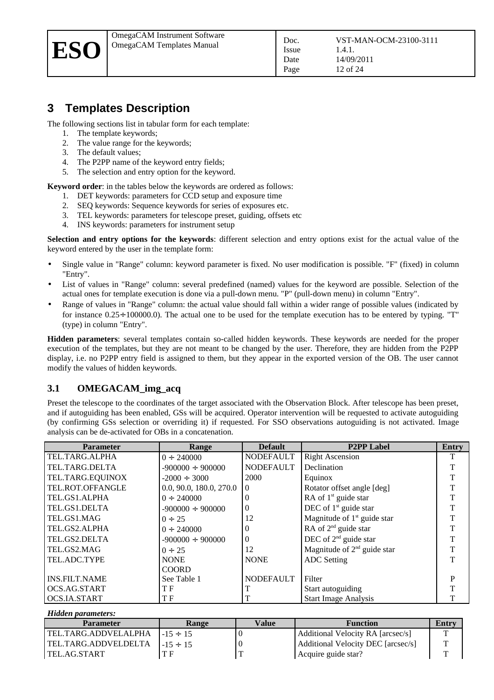## <span id="page-11-2"></span>**3 Templates Description**

The following sections list in tabular form for each template:

- 1. The template keywords;
- 2. The value range for the keywords;
- 3. The default values;
- 4. The P2PP name of the keyword entry fields;
- 5. The selection and entry option for the keyword.

**Keyword order**: in the tables below the keywords are ordered as follows:

- 1. DET keywords: parameters for CCD setup and exposure time
- 2. SEQ keywords: Sequence keywords for series of exposures etc.
- 3. TEL keywords: parameters for telescope preset, guiding, offsets etc
- 4. INS keywords: parameters for instrument setup

**Selection and entry options for the keywords**: different selection and entry options exist for the actual value of the keyword entered by the user in the template form:

Issue Date Page

- Single value in "Range" column: keyword parameter is fixed. No user modification is possible. "F" (fixed) in column "Entry".
- List of values in "Range" column: several predefined (named) values for the keyword are possible. Selection of the actual ones for template execution is done via a pull-down menu. "P" (pull-down menu) in column "Entry".
- Range of values in "Range" column: the actual value should fall within a wider range of possible values (indicated by for instance 0.25÷ 100000.0). The actual one to be used for the template execution has to be entered by typing. "T" (type) in column "Entry".

**Hidden parameters**: several templates contain so-called hidden keywords. These keywords are needed for the proper execution of the templates, but they are not meant to be changed by the user. Therefore, they are hidden from the P2PP display, i.e. no P2PP entry field is assigned to them, but they appear in the exported version of the OB. The user cannot modify the values of hidden keywords.

#### <span id="page-11-1"></span>**3.1 OMEGACAM\_img\_acq**

Preset the telescope to the coordinates of the target associated with the Observation Block. After telescope has been preset, and if autoguiding has been enabled, GSs will be acquired. Operator intervention will be requested to activate autoguiding (by confirming GSs selection or overriding it) if requested. For SSO observations autoguiding is not activated. Image analysis can be de-activated for OBs in a concatenation.

| Parameter            | Range                   | <b>Default</b>   | <b>P2PP</b> Label             | Entry |
|----------------------|-------------------------|------------------|-------------------------------|-------|
| TEL.TARG.ALPHA       | $0 \div 240000$         | <b>NODEFAULT</b> | <b>Right Ascension</b>        |       |
| TEL.TARG.DELTA       | $-900000 \div 900000$   | <b>NODEFAULT</b> | Declination                   |       |
| TEL.TARG.EQUINOX     | $-2000 \div 3000$       | 2000             | Equinox                       |       |
| TEL.ROT.OFFANGLE     | 0.0, 90.0, 180.0, 270.0 | $\theta$         | Rotator offset angle [deg]    |       |
| TEL.GS1.ALPHA        | $0 \div 240000$         | 0                | RA of $1st$ guide star        |       |
| TEL.GS1.DELTA        | $-900000 \div 900000$   | $\Omega$         | DEC of $1st$ guide star       |       |
| TEL.GS1.MAG          | $0 \div 25$             | 12               | Magnitude of $1st$ guide star |       |
| TEL.GS2.ALPHA        | $0 \div 240000$         | 0                | RA of $2^{nd}$ guide star     |       |
| TEL.GS2.DELTA        | $-900000 \div 900000$   | $\Omega$         | DEC of $2nd$ guide star       | T     |
| TEL.GS2.MAG          | $0 \div 25$             | 12               | Magnitude of $2nd$ guide star |       |
| TEL.ADC.TYPE         | <b>NONE</b>             | <b>NONE</b>      | <b>ADC</b> Setting            | т     |
|                      | <b>COORD</b>            |                  |                               |       |
| <b>INS.FILT.NAME</b> | See Table 1             | <b>NODEFAULT</b> | Filter                        | P     |
| OCS.AG.START         | T F                     |                  | Start autoguiding             |       |
| OCS.IA.START         | T F                     |                  | <b>Start Image Analysis</b>   |       |

#### <span id="page-11-0"></span>*Hidden parameters:*

| <b>Parameter</b>       | Range         | Value | <b>Function</b>                    | Entry |
|------------------------|---------------|-------|------------------------------------|-------|
| TEL.TARG.ADDVELALPHA   | $-15 \div 15$ |       | Additional Velocity RA [arcsec/s]  | ᠇᠇    |
| l TEL.TARG.ADDVELDELTA | $-15 \div 15$ |       | Additional Velocity DEC [arcsec/s] | m     |
| l TEL.AG.START         | ТF            |       | Acquire guide star?                | m     |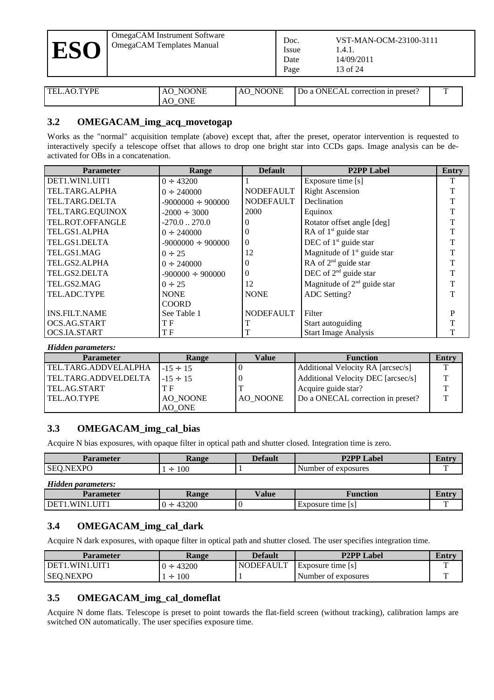| <b>ESO</b> | OmegaCAM Instrument Software<br>OmegaCAM Templates Manual | Doc.<br>Issue<br>Date<br>Page | VST-MAN-OCM-23100-3111<br>1.4.1.<br>14/09/2011<br>13 of 24 |
|------------|-----------------------------------------------------------|-------------------------------|------------------------------------------------------------|
|------------|-----------------------------------------------------------|-------------------------------|------------------------------------------------------------|

| $AO$ TYPF<br>TEL. | <b>NOONE</b><br>AO<br>_ | <b>NOONE</b><br>AO. | Do a ONECAL correction in preset? |  |
|-------------------|-------------------------|---------------------|-----------------------------------|--|
|                   | <b>ONE</b><br>AO.       |                     |                                   |  |

#### **3.2 OMEGACAM\_img\_acq\_movetogap**

Works as the "normal" acquisition template (above) except that, after the preset, operator intervention is requested to interactively specify a telescope offset that allows to drop one bright star into CCDs gaps. Image analysis can be deactivated for OBs in a concatenation.

| <b>Parameter</b>     | Range                   | <b>Default</b>   | <b>P2PP Label</b>             | <b>Entry</b> |
|----------------------|-------------------------|------------------|-------------------------------|--------------|
| DET1.WIN1.UIT1       | $0 \div 43200$          |                  | Exposure time [s]             | т            |
| TEL.TARG.ALPHA       | $0 \div 240000$         | <b>NODEFAULT</b> | <b>Right Ascension</b>        |              |
| TEL.TARG.DELTA       | $-9000000 \div 900000$  | <b>NODEFAULT</b> | Declination                   |              |
| TEL.TARG.EQUINOX     | $-2000 \div 3000$       | 2000             | Equinox                       |              |
| TEL.ROT.OFFANGLE     | $-270.0$ $\ldots$ 270.0 |                  | Rotator offset angle [deg]    |              |
| TEL.GS1.ALPHA        | $0 \div 240000$         |                  | RA of $1st$ guide star        |              |
| TEL.GS1.DELTA        | $-9000000 \div 900000$  | 0                | DEC of $1st$ guide star       |              |
| TEL.GS1.MAG          | $0 \div 25$             | 12               | Magnitude of $1st$ guide star |              |
| TEL.GS2.ALPHA        | $0 \div 240000$         |                  | RA of $2^{nd}$ guide star     |              |
| TEL.GS2.DELTA        | $-900000 \div 900000$   | 0                | DEC of $2nd$ guide star       |              |
| TEL.GS2.MAG          | $0 \div 25$             | 12               | Magnitude of $2nd$ guide star |              |
| TEL.ADC.TYPE         | <b>NONE</b>             | <b>NONE</b>      | <b>ADC Setting?</b>           |              |
|                      | <b>COORD</b>            |                  |                               |              |
| <b>INS.FILT.NAME</b> | See Table 1             | <b>NODEFAULT</b> | Filter                        | P            |
| OCS.AG.START         | ТF                      |                  | Start autoguiding             |              |
| OCS.IA.START         | ΤF                      |                  | <b>Start Image Analysis</b>   |              |

#### *Hidden parameters:*

| Parameter              | Range         | Value    | <b>Function</b>                    | Entry |
|------------------------|---------------|----------|------------------------------------|-------|
| l TEL.TARG.ADDVELALPHA | $-15 \div 15$ |          | Additional Velocity RA [arcsec/s]  |       |
| TEL.TARG.ADDVELDELTA   | $-15 \div 15$ |          | Additional Velocity DEC [arcsec/s] |       |
| l TEL.AG.START         | ТF            |          | Acquire guide star?                | ᠇᠇    |
| TEL.AO.TYPE            | AO NOONE      | AO NOONE | Do a ONECAL correction in preset?  | ᠇᠇    |
|                        | AO ONE        |          |                                    |       |

#### **3.3 OMEGACAM\_img\_cal\_bias**

Acquire N bias exposures, with opaque filter in optical path and shutter closed. Integration time is zero.

| arane -        | lange<br>$\sim$ alle | n 1<br>erault | Label                                           | иш |
|----------------|----------------------|---------------|-------------------------------------------------|----|
| חת־<br>N<br>ΟЕ | 100<br><u>—</u>      |               | <b>DOSUTPS</b><br>uber.<br>$\sim$<br>n1<br>ullu |    |

| <b>Hidden parameters:</b> |            |       |                   |       |
|---------------------------|------------|-------|-------------------|-------|
| Parameter                 | Range      | Value | Function          | Entrv |
| DET1.WIN1.UIT1            | 43200<br>∸ |       | Exposure time [s] |       |

#### **3.4 OMEGACAM\_img\_cal\_dark**

Acquire N dark exposures, with opaque filter in optical path and shutter closed. The user specifies integration time.

| Parameter      | Range           | Default   | <b>P2PP Label</b>     | Entrv |
|----------------|-----------------|-----------|-----------------------|-------|
| DET1.WIN1.UIT1 | 43200<br>$(1 +$ | NODEFAULT | Exposure time [s]     |       |
| ' SEQ.NEXPO    | 100<br>$1 \div$ |           | I Number of exposures |       |

#### <span id="page-12-0"></span>**3.5 OMEGACAM\_img\_cal\_domeflat**

Acquire N dome flats. Telescope is preset to point towards the flat-field screen (without tracking), calibration lamps are switched ON automatically. The user specifies exposure time.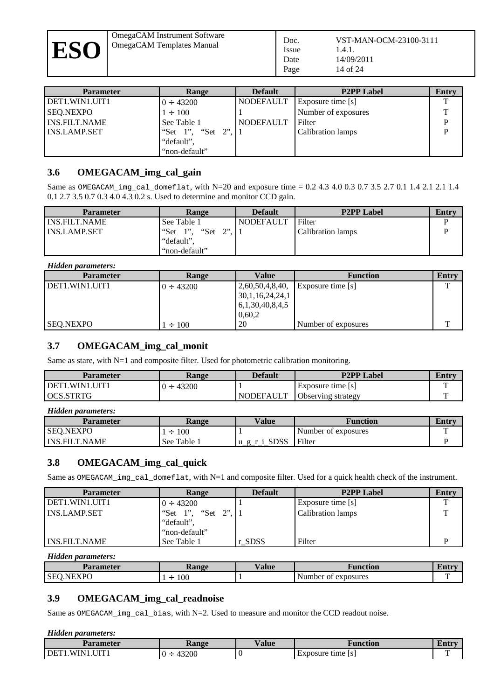OmegaCAM Instrument Software OmegaCAM Insulment Software<br>
Doc.<br>
Dec.

| <b>Parameter</b>     | Range             | <b>Default</b> | <b>P2PP Label</b>   | Entry |
|----------------------|-------------------|----------------|---------------------|-------|
| DET1.WIN1.UIT1       | $0 \div 43200$    | NODEFAULT      | Exposure time [s]   |       |
| SEQ.NEXPO            | $1 \div 100$      |                | Number of exposures | ௱     |
| <b>INS.FILT.NAME</b> | See Table 1       | NODEFAULT      | Filter              | D     |
| l INS.LAMP.SET       | "Set 1", "Set 2", |                | Calibration lamps   | D     |
|                      | "default",        |                |                     |       |
|                      | "non-default"     |                |                     |       |

#### <span id="page-13-1"></span>**3.6 OMEGACAM\_img\_cal\_gain**

Same as OMEGACAM\_img\_cal\_domeflat, with N=20 and exposure time = 0.2 4.3 4.0 0.3 0.7 3.5 2.7 0.1 1.4 2.1 2.1 1.4 0.1 2.7 3.5 0.7 0.3 4.0 4.3 0.2 s. Used to determine and monitor CCD gain.

| <b>Parameter</b>     | Range                | <b>Default</b>   | <b>P2PP Label</b> | Entry |
|----------------------|----------------------|------------------|-------------------|-------|
| <b>INS.FILT.NAME</b> | See Table 1          | <b>NODEFAULT</b> | Filter            |       |
| <b>INS.LAMP.SET</b>  | "Set 1", "Set<br>ייר |                  | Calibration lamps |       |
|                      | "default",           |                  |                   |       |
|                      | "non-default"        |                  |                   |       |

#### *Hidden parameters:*

| Parameter        | Range          | Value                | <b>Function</b>     | Entry |
|------------------|----------------|----------------------|---------------------|-------|
| l DET1.WIN1.UIT1 | $0 \div 43200$ | 2,60,50,4,8,40,      | Exposure time [s]   | ᠇᠇    |
|                  |                | 30, 1, 16, 24, 24, 1 |                     |       |
|                  |                | 6,1,30,40,8,4,5      |                     |       |
|                  |                | 0,60,2               |                     |       |
| SEQ.NEXPO        | $1 \div 100$   | 20                   | Number of exposures | m     |

#### <span id="page-13-0"></span>**3.7 OMEGACAM\_img\_cal\_monit**

Same as stare, with N=1 and composite filter. Used for photometric calibration monitoring.

| Parameter        | Range           | Default     | <b>P2PP Label</b>         | Entry |
|------------------|-----------------|-------------|---------------------------|-------|
| l DET1.WIN1.UIT1 | 43200<br>$() +$ |             | Exposure time [s]         |       |
| l OCS.STRTG      |                 | l NODEFAULT | <b>Observing strategy</b> |       |

| <b>Hidden parameters:</b> |                 |              |                     |       |
|---------------------------|-----------------|--------------|---------------------|-------|
| Parameter                 | Range           | Value        | Function            | Entrv |
| SEQ.NEXPO                 | 100<br>$\vdash$ |              | Number of exposures |       |
| l INS.FILT.NAME           | See Table 1     | u_g_r_i_SDSS | Filter              |       |

#### **3.8 OMEGACAM\_img\_cal\_quick**

Same as OMEGACAM\_img\_cal\_domeflat, with N=1 and composite filter. Used for a quick health check of the instrument.

| Parameter        | Range                | <b>Default</b> | <b>P2PP Label</b>        | Entry |
|------------------|----------------------|----------------|--------------------------|-------|
| l DET1.WIN1.UIT1 | $0 \div 43200$       |                | Exposure time [s]        | ௱     |
| l INS.LAMP.SET   | "Set 1", "Set<br>ייר |                | <b>Calibration lamps</b> |       |
|                  | "default",           |                |                          |       |
|                  | "non-default"        |                |                          |       |
| I INS.FILT.NAME  | See Table 1          | r SDSS         | Filter                   |       |

*Hidden parameters:*

| Parameter               | <b>Range</b> | Value | Function               | ени |
|-------------------------|--------------|-------|------------------------|-----|
| <b>YDC</b><br>NF<br>SE( | 100<br>÷     |       | Number<br>of exposures |     |

#### <span id="page-13-2"></span>**3.9 OMEGACAM\_img\_cal\_readnoise**

Same as OMEGACAM\_img\_cal\_bias, with N=2. Used to measure and monitor the CCD readout noise.

#### *Hidden parameters:*

| Parameter                           | Range      | /alue | Function          | Emti |
|-------------------------------------|------------|-------|-------------------|------|
| I I I T<br>WIN1<br>DET <sub>1</sub> | 43200<br>. |       | Exposure time [s] |      |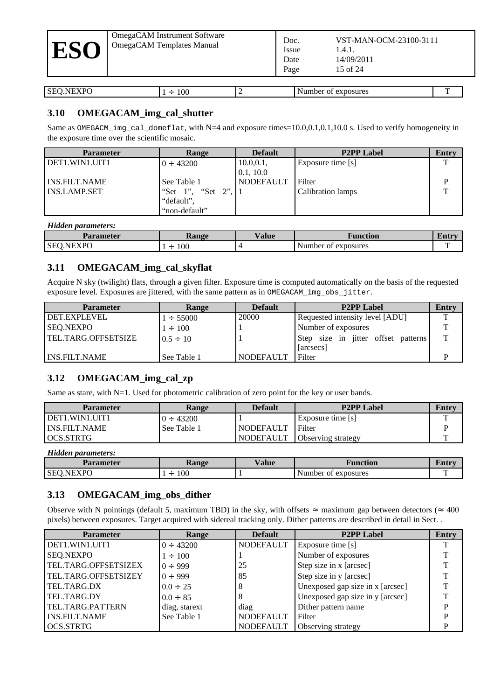| OmegaCAM Instrument Software<br>OmegaCAM Templates Manual<br><b>ESO</b> | Doc.<br>VST-MAN-OCM-23100-3111<br>Issue<br>1.4.1.<br>14/09/2011<br>Date<br>15 of 24<br>Page |  |
|-------------------------------------------------------------------------|---------------------------------------------------------------------------------------------|--|
|-------------------------------------------------------------------------|---------------------------------------------------------------------------------------------|--|

| $\sim$ $\sim$<br>DГ<br>.<br>эe<br>$\sim$<br>$\sim$ | 100<br>$\sim$ | . . | posures<br>. .<br>$\sim$ |  |
|----------------------------------------------------|---------------|-----|--------------------------|--|

#### <span id="page-14-0"></span>**3.10 OMEGACAM\_img\_cal\_shutter**

Same as OMEGACM\_imq\_cal\_domeflat, with N=4 and exposure times=10.0,0.1,0.1,10.0 s. Used to verify homogeneity in the exposure time over the scientific mosaic.

| <b>Parameter</b> | Range             | <b>Default</b>   | <b>P2PP Label</b> | Entry |
|------------------|-------------------|------------------|-------------------|-------|
| l DET1.WIN1.UIT1 | $0 \div 43200$    | 10.0, 0.1,       | Exposure time [s] |       |
|                  |                   | 0.1, 10.0        |                   |       |
| l INS.FILT.NAME  | See Table 1       | <b>NODEFAULT</b> | Filter            |       |
| l INS.LAMP.SET   | "Set 1", "Set 2", |                  | Calibration lamps |       |
|                  | "default",        |                  |                   |       |
|                  | "non-default"     |                  |                   |       |

#### *Hidden parameters:*

| Parameter               | łange    | . <del>.</del> .<br>/ alue | Function                    | эни |
|-------------------------|----------|----------------------------|-----------------------------|-----|
| EVDC<br><b>SEC</b><br>N | 100<br>- |                            | Number<br>: exposures<br>0Ì | --  |

#### <span id="page-14-2"></span>**3.11 OMEGACAM\_img\_cal\_skyflat**

Acquire N sky (twilight) flats, through a given filter. Exposure time is computed automatically on the basis of the requested exposure level. Exposures are jittered, with the same pattern as in OMEGACAM\_img\_obs\_jitter.

| <b>Parameter</b>     | Range          | <b>Default</b> | <b>P2PP Label</b>                   | Entry |
|----------------------|----------------|----------------|-------------------------------------|-------|
| <b>DET.EXPLEVEL</b>  | $1 \div 55000$ | 20000          | Requested intensity level [ADU]     | T.    |
| SEQ.NEXPO            | $1 \div 100$   |                | Number of exposures                 | m.    |
| TEL.TARG.OFFSETSIZE  | $0.5 \div 10$  |                | Step size in jitter offset patterns | T.    |
|                      |                |                | [arcsecs]                           |       |
| <b>INS.FILT.NAME</b> | See Table 1    | NODEFAULT      | Filter                              | D     |

#### <span id="page-14-1"></span>**3.12 OMEGACAM\_img\_cal\_zp**

Same as stare, with N=1. Used for photometric calibration of zero point for the key or user bands.

| Parameter            | Range          | Default   | <b>P2PP Label</b>                     | Entry     |
|----------------------|----------------|-----------|---------------------------------------|-----------|
| DET1.WIN1.UIT1.      | $0 \div 43200$ |           | $\vert$ Exposure time $\vert s \vert$ | <b>TT</b> |
| <b>INS.FILT.NAME</b> | See Table 1    | NODEFAULT | Filter                                |           |
| OCS.STRTG            |                | NODEFAULT | Observing strategy                    | —         |

*Hidden parameters:*

| Parameter               | <b>Range</b> | <b>Value</b> | <b>Function</b>           | Entr |
|-------------------------|--------------|--------------|---------------------------|------|
| <b>YDC</b><br>SE(<br>NF | 100<br>÷     |              | exposures<br>Number<br>0Ì |      |

#### **3.13 OMEGACAM\_img\_obs\_dither**

Observe with N pointings (default 5, maximum TBD) in the sky, with offsets  $\approx$  maximum gap between detectors ( $\approx$  400 pixels) between exposures. Target acquired with sidereal tracking only. Dither patterns are described in detail in Sect. [.](#page-17-0)

| Parameter            | Range          | <b>Default</b>   | <b>P2PP Label</b>                | Entry |
|----------------------|----------------|------------------|----------------------------------|-------|
| DET1.WIN1.UIT1       | $0 \div 43200$ | <b>NODEFAULT</b> | Exposure time $[s]$              |       |
| <b>SEQ.NEXPO</b>     | $1 \div 100$   |                  | Number of exposures              |       |
| TEL.TARG.OFFSETSIZEX | $0 \div 999$   | 25               | Step size in x [arcsec]          |       |
| TEL.TARG.OFFSETSIZEY | $0 \div 999$   | 85               | Step size in y [arcsec]          |       |
| TEL.TARG.DX          | $0.0 \div 25$  |                  | Unexposed gap size in x [arcsec] | T.    |
| TEL.TARG.DY          | $0.0 \div 85$  |                  | Unexposed gap size in y [arcsec] | T.    |
| TEL.TARG.PATTERN     | diag, starext  | diag             | Dither pattern name              | D     |
| INS.FILT.NAME        | See Table 1    | <b>NODEFAULT</b> | Filter                           |       |
| OCS.STRTG            |                | NODEFAULT        | <b>Observing strategy</b>        | D     |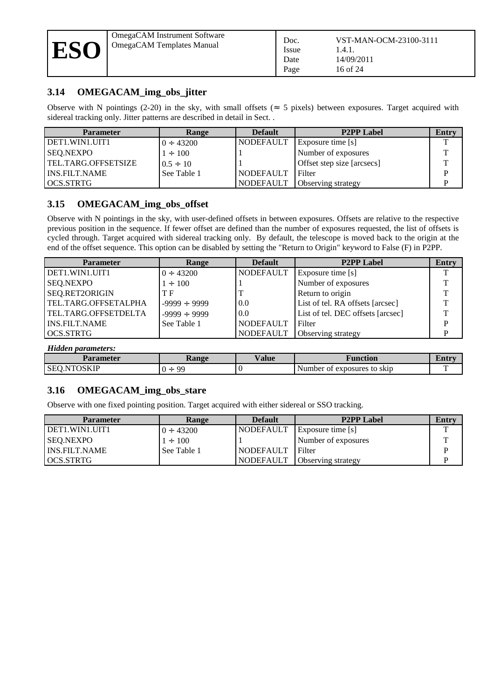

#### <span id="page-15-1"></span>**3.14 OMEGACAM\_img\_obs\_jitter**

Observe with N pointings (2-20) in the sky, with small offsets ( $\approx$  5 pixels) between exposures. Target acquired with sidereal tracking only. Jitter patterns are described in detail in Sect. [.](#page-16-0)

| Parameter            | Range          | <b>Default</b>   | <b>P2PP Label</b>          | Entry |
|----------------------|----------------|------------------|----------------------------|-------|
| DET1.WIN1.UIT1       | $0 \div 43200$ | NODEFAULT        | <b>Exposure time</b> [s]   |       |
| SEQ.NEXPO            | $1 \div 100$   |                  | Number of exposures        | T.    |
| TEL.TARG.OFFSETSIZE  | $0.5 \div 10$  |                  | Offset step size [arcsecs] | T     |
| <b>INS.FILT.NAME</b> | See Table 1    | <b>NODEFAULT</b> | Filter                     | D     |
| ' OCS.STRTG          |                | I NODEFAULT      | <b>Observing strategy</b>  |       |

#### **3.15 OMEGACAM\_img\_obs\_offset**

Observe with N pointings in the sky, with user-defined offsets in between exposures. Offsets are relative to the respective previous position in the sequence. If fewer offset are defined than the number of exposures requested, the list of offsets is cycled through. Target acquired with sidereal tracking only. By default, the telescope is moved back to the origin at the end of the offset sequence. This option can be disabled by setting the "Return to Origin" keyword to False (F) in P2PP.

| Parameter            | Range             | <b>Default</b>   | <b>P2PP Label</b>                 | Entry |
|----------------------|-------------------|------------------|-----------------------------------|-------|
| DET1.WIN1.UIT1       | $0 \div 43200$    | NODEFAULT        | Exposure time [s]                 |       |
| SEQ.NEXPO            | $1 \div 100$      |                  | Number of exposures               |       |
| SEQ.RET2ORIGIN       | T F               |                  | Return to origin                  |       |
| TEL.TARG.OFFSETALPHA | $-9999 \div 9999$ | 0.0              | List of tel. RA offsets [arcsec]  |       |
| TEL.TARG.OFFSETDELTA | $-9999 \div 9999$ | 0.0              | List of tel. DEC offsets [arcsec] |       |
| l INS.FILT.NAME      | See Table 1       | NODEFAULT        | Filter                            |       |
| l OCS.STRTG          |                   | <b>NODEFAULT</b> | Observing strategy                |       |

<span id="page-15-0"></span>*Hidden parameters:*

| Parameter        | ange!<br>$-1$ . The set of $\sim$ | . <del>.</del> .<br>⁄ alue<br>Function |                                     | ыци |
|------------------|-----------------------------------|----------------------------------------|-------------------------------------|-----|
| ורו<br>ЭE<br>___ | 99<br>∸                           |                                        | Number<br>exposures to skip !<br>ΩT |     |

#### **3.16 OMEGACAM\_img\_obs\_stare**

Observe with one fixed pointing position. Target acquired with either sidereal or SSO tracking.

| Parameter        | Range          | <b>Default</b> | <b>P2PP Label</b>         | Entry |
|------------------|----------------|----------------|---------------------------|-------|
| l DET1.WIN1.UIT1 | $0 \div 43200$ | l NODEFAULT    | [ Exposure time [s]       |       |
| SEO.NEXPO        | $1 \div 100$   |                | Number of exposures       | ᅲ     |
| l INS.FILT.NAME  | See Table 1    | l NODEFAULT    | Filter                    | D     |
| l OCS.STRTG      |                | NODEFAULT      | <b>Observing strategy</b> | D     |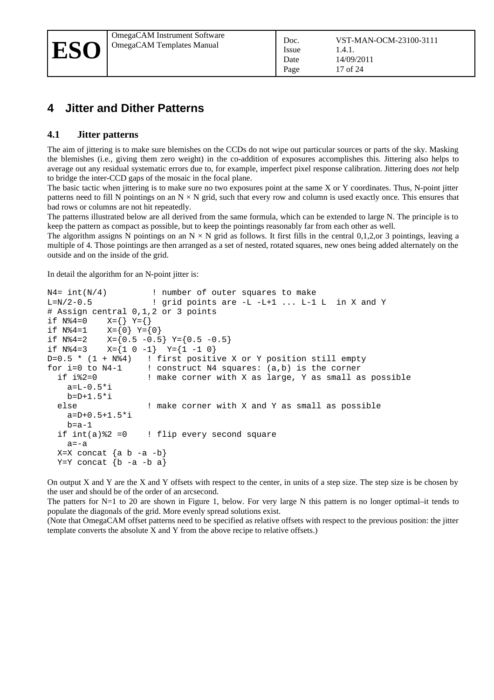## **4 Jitter and Dither Patterns**

#### <span id="page-16-0"></span>**4.1 Jitter patterns**

The aim of jittering is to make sure blemishes on the CCDs do not wipe out particular sources or parts of the sky. Masking the blemishes (i.e., giving them zero weight) in the co-addition of exposures accomplishes this. Jittering also helps to average out any residual systematic errors due to, for example, imperfect pixel response calibration. Jittering does *not* help to bridge the inter-CCD gaps of the mosaic in the focal plane.

The basic tactic when jittering is to make sure no two exposures point at the same X or Y coordinates. Thus, N-point jitter patterns need to fill N pointings on an  $N \times N$  grid, such that every row and column is used exactly once. This ensures that bad rows or columns are not hit repeatedly.

The patterns illustrated below are all derived from the same formula, which can be extended to large N. The principle is to keep the pattern as compact as possible, but to keep the pointings reasonably far from each other as well.

The algorithm assigns N pointings on an  $N \times N$  grid as follows. It first fills in the central 0,1,2, or 3 pointings, leaving a multiple of 4. Those pointings are then arranged as a set of nested, rotated squares, new ones being added alternately on the outside and on the inside of the grid.

In detail the algorithm for an N-point jitter is:

```
N4= int(N/4) \qquad ! number of outer squares to make
L=N/2-0.5 ! grid points are -L -L+1 ... L-1 L in X and Y
# Assign central 0,1,2 or 3 points<br>if N%4=0 X = \{\} Y = \{\}if N%4=0 X={} Y={}
if N%4=1 X={0} Y={0}
if N%4=2 X = \{0.5 - 0.5\} Y=\{0.5 - 0.5\}<br>if N%4=3 X = \{1 \ 0 \ -1\} Y=\{1 \ -1 \ 0\}X = \{1 \ 0 \ -1\} Y = \{1 \ -1 \ 0\}D=0.5 * (1 + N%4) ! first positive X or Y position still empty<br>for i=0 to N4-1 ! construct N4 squares: (a,b) is the corner
  r i=0 to N4-1     ! construct N4 squares: (a,b) is the corner<br>if i%2=0           ! make corner with X as large, Y as small a
                          ! make corner with X as large, Y as small as possible
      a=L-0.5*i 
     b=D+1.5*i
   else ! make corner with X and Y as small as possible
     a=D+0.5+1.5*i
     b=a-1if int(a)\%2 = 0 ! flip every second square
     a=-aX=X concat \{a \ b -a -b\}Y=Y concat \{b -a -b a\}
```
On output X and Y are the X and Y offsets with respect to the center, in units of a step size. The step size is be chosen by the user and should be of the order of an arcsecond.

The patters for N=1 to 20 are shown in [Figure 1,](#page-17-1) below. For very large N this pattern is no longer optimal–it tends to populate the diagonals of the grid. More evenly spread solutions exist.

(Note that OmegaCAM offset patterns need to be specified as relative offsets with respect to the previous position: the jitter template converts the absolute X and Y from the above recipe to relative offsets.)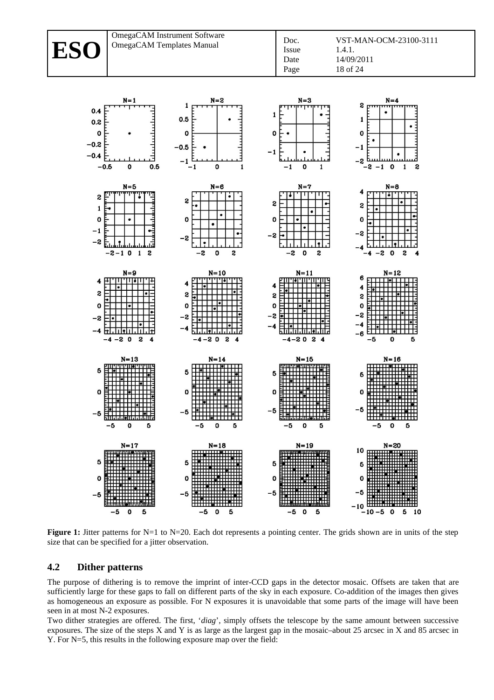# **ESO**

OmegaCAM Instrument Software OmegaCAM Instrument Software<br>  $\begin{array}{|l|l|}\n\hline\n\text{Doc.} \\
\end{array}$ 



<span id="page-17-1"></span>**Figure 1:** Jitter patterns for N=1 to N=20. Each dot represents a pointing center. The grids shown are in units of the step size that can be specified for a jitter observation.

#### <span id="page-17-0"></span>**4.2 Dither patterns**

The purpose of dithering is to remove the imprint of inter-CCD gaps in the detector mosaic. Offsets are taken that are sufficiently large for these gaps to fall on different parts of the sky in each exposure. Co-addition of the images then gives as homogeneous an exposure as possible. For N exposures it is unavoidable that some parts of the image will have been seen in at most N-2 exposures.

Two dither strategies are offered. The first, '*diag*', simply offsets the telescope by the same amount between successive exposures. The size of the steps X and Y is as large as the largest gap in the mosaic–about 25 arcsec in X and 85 arcsec in Y. For N=5, this results in the following exposure map over the field: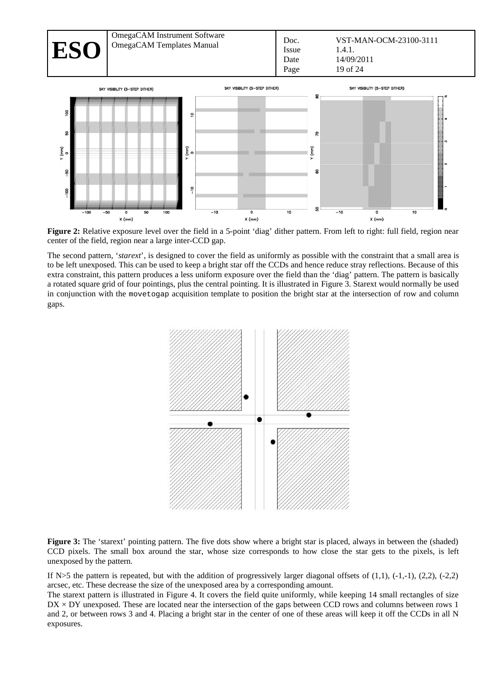

**Figure 2:** Relative exposure level over the field in a 5-point 'diag' dither pattern. From left to right: full field, region near center of the field, region near a large inter-CCD gap.

The second pattern, '*starext*', is designed to cover the field as uniformly as possible with the constraint that a small area is to be left unexposed. This can be used to keep a bright star off the CCDs and hence reduce stray reflections. Because of this extra constraint, this pattern produces a less uniform exposure over the field than the 'diag' pattern. The pattern is basically a rotated square grid of four pointings, plus the central pointing. It is illustrated in [Figure 3.](#page-18-0) Starext would normally be used in conjunction with the movetogap acquisition template to position the bright star at the intersection of row and column gaps.



<span id="page-18-0"></span>Figure 3: The 'starext' pointing pattern. The five dots show where a bright star is placed, always in between the (shaded) CCD pixels. The small box around the star, whose size corresponds to how close the star gets to the pixels, is left unexposed by the pattern.

If  $N>5$  the pattern is repeated, but with the addition of progressively larger diagonal offsets of  $(1,1)$ ,  $(-1,-1)$ ,  $(2,2)$ ,  $(-2,2)$ arcsec, etc. These decrease the size of the unexposed area by a corresponding amount.

The starext pattern is illustrated in [Figure 4.](#page-19-0) It covers the field quite uniformly, while keeping 14 small rectangles of size  $DX \times DY$  unexposed. These are located near the intersection of the gaps between CCD rows and columns between rows 1 and 2, or between rows 3 and 4. Placing a bright star in the center of one of these areas will keep it off the CCDs in all N exposures.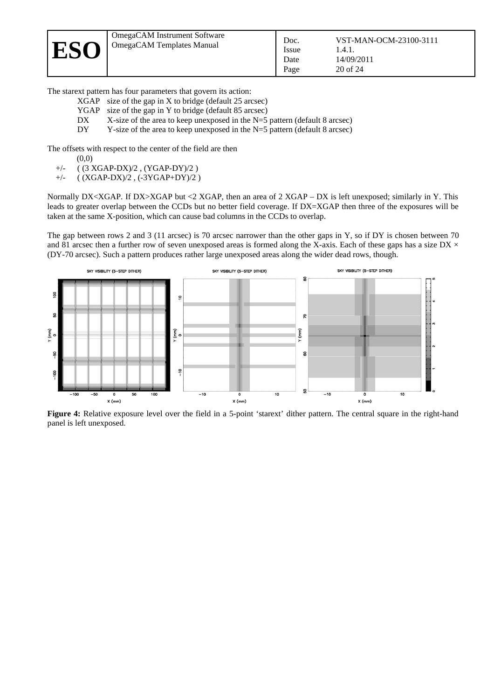

| VST-MAN-OCM-23100-3111 |
|------------------------|

The starext pattern has four parameters that govern its action:

- XGAP size of the gap in X to bridge (default 25 arcsec)
- YGAP size of the gap in Y to bridge (default 85 arcsec)
- DX X-size of the area to keep unexposed in the N=5 pattern (default 8 arcsec)
- $DY = Y$ -size of the area to keep unexposed in the N=5 pattern (default 8 arcsec)

The offsets with respect to the center of the field are then

- (0,0)
- +/- ( (3 XGAP-DX)/2 , (YGAP-DY)/2 )
- +/- ( (XGAP-DX)/2 , (-3YGAP+DY)/2 )

Normally DX<XGAP. If DX>XGAP but <2 XGAP, then an area of 2 XGAP – DX is left unexposed; similarly in Y. This leads to greater overlap between the CCDs but no better field coverage. If DX=XGAP then three of the exposures will be taken at the same X-position, which can cause bad columns in the CCDs to overlap.

The gap between rows 2 and 3 (11 arcsec) is 70 arcsec narrower than the other gaps in Y, so if DY is chosen between 70 and 81 arcsec then a further row of seven unexposed areas is formed along the X-axis. Each of these gaps has a size DX  $\times$ (DY-70 arcsec). Such a pattern produces rather large unexposed areas along the wider dead rows, though.



<span id="page-19-0"></span>Figure 4: Relative exposure level over the field in a 5-point 'starext' dither pattern. The central square in the right-hand panel is left unexposed.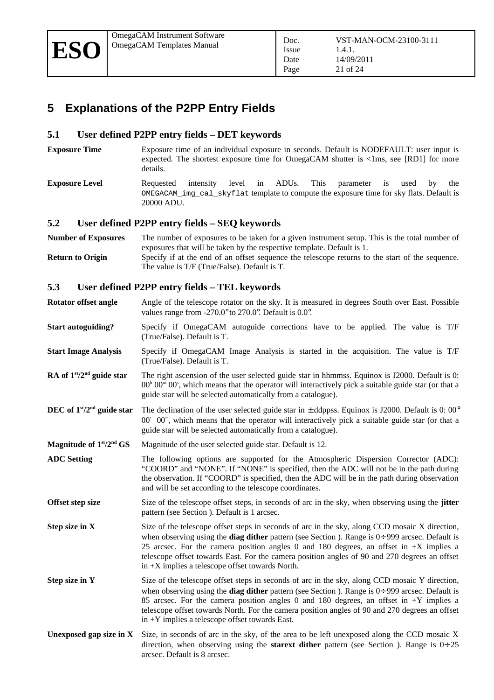## **5 Explanations of the P2PP Entry Fields**

#### **5.1 User defined P2PP entry fields – DET keywords**

- **Exposure Time** Exposure time of an individual exposure in seconds. Default is NODEFAULT: user input is expected. The shortest exposure time for OmegaCAM shutter is <1ms, see [\[RD1\]](#page-5-2) for more details.
- **Exposure Level Requested** intensity level in ADUs. This parameter is used by the OMEGACAM\_img\_cal\_skyflat template to compute the exposure time for sky flats. Default is 20000 ADU.

#### **5.2 User defined P2PP entry fields – SEQ keywords**

**Number of Exposures** The number of exposures to be taken for a given instrument setup. This is the total number of exposures that will be taken by the respective template. Default is 1. **Return to Origin** Specify if at the end of an offset sequence the telescope returns to the start of the sequence.

The value is T/F (True/False). Default is T.

#### **5.3 User defined P2PP entry fields – TEL keywords**

- **Rotator offset angle** Angle of the telescope rotator on the sky. It is measured in degrees South over East. Possible values range from -270.0° to 270.0°. Default is 0.0°.
- **Start autoguiding?** Specify if OmegaCAM autoguide corrections have to be applied. The value is T/F (True/False). Default is T.
- **Start Image Analysis** Specify if OmegaCAM Image Analysis is started in the acquisition. The value is T/F (True/False). Default is T.
- **RA of 1<sup>***s***t</sup>/2<sup>nd</sup> guide star** The right ascension of the user selected guide star in hhmmss. Equinox is J2000. Default is 0:  $00<sup>h</sup> 00<sup>m</sup> 00<sup>s</sup>$ , which means that the operator will interactively pick a suitable guide star (or that a guide star will be selected automatically from a catalogue).
- **DEC of 1<sup>st</sup>/2<sup>nd</sup> guide star** The declination of the user selected guide star in  $\pm$  ddppss. Equinox is J2000. Default is 0: 00° 00′ 00″, which means that the operator will interactively pick a suitable guide star (or that a guide star will be selected automatically from a catalogue).
- **Magnitude of 1st/2nd GS** Magnitude of the user selected guide star. Default is 12.
- **ADC Setting** The following options are supported for the Atmospheric Dispersion Corrector (ADC): "COORD" and "NONE". If "NONE" is specified, then the ADC will not be in the path during the observation. If "COORD" is specified, then the ADC will be in the path during observation and will be set according to the telescope coordinates.
- **Offset step size** Size of the telescope offset steps, in seconds of arc in the sky, when observing using the **jitter** pattern (see Section [\)](#page-16-0). Default is 1 arcsec.
- **Step size in X** Size of the telescope offset steps in seconds of arc in the sky, along CCD mosaic X direction, when observing using the **diag dither** pattern (see Section [\)](#page-17-0). Range is 0÷ 999 arcsec. Default is 25 arcsec. For the camera position angles 0 and 180 degrees, an offset in  $+X$  implies a telescope offset towards East. For the camera position angles of 90 and 270 degrees an offset in +X implies a telescope offset towards North.
- **Step size in Y** Size of the telescope offset steps in seconds of arc in the sky, along CCD mosaic Y direction, when observing using the **diag dither** pattern (see Section [\)](#page-17-0). Range is 0÷ 999 arcsec. Default is 85 arcsec. For the camera position angles 0 and 180 degrees, an offset in  $+Y$  implies a telescope offset towards North. For the camera position angles of 90 and 270 degrees an offset in +Y implies a telescope offset towards East.
- **Unexposed gap size in X** Size, in seconds of arc in the sky, of the area to be left unexposed along the CCD mosaic X direction, when observing using the **starext dither** pattern (see Section [\)](#page-17-0). Range is 0÷ 25 arcsec. Default is 8 arcsec.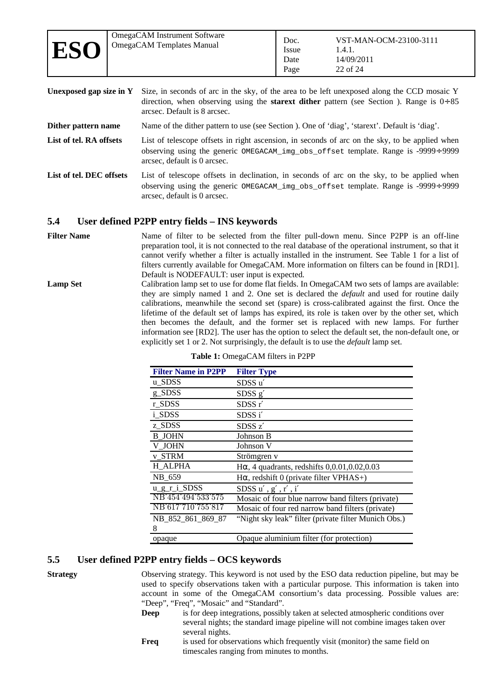**Unexposed gap size in Y** Size, in seconds of arc in the sky, of the area to be left unexposed along the CCD mosaic Y direction, when observing using the **starext dither** pattern (see Section [\)](#page-17-0). Range is 0÷ 85 arcsec. Default is 8 arcsec.

**Dither pattern name** Name of the dither pattern to use (see Section [\)](#page-17-0). One of 'diag', 'starext'. Default is 'diag'.

- List of tel. RA offsets List of telescope offsets in right ascension, in seconds of arc on the sky, to be applied when observing using the generic OMEGACAM\_img\_obs\_offset template. Range is -9999÷ 9999 arcsec, default is 0 arcsec.
- List of tel. DEC offsets List of telescope offsets in declination, in seconds of arc on the sky, to be applied when observing using the generic OMEGACAM\_img\_obs\_offset template. Range is -9999÷ 9999 arcsec, default is 0 arcsec.

#### <span id="page-21-1"></span>**5.4 User defined P2PP entry fields – INS keywords**

Filter Name **Name** of filter to be selected from the filter pull-down menu. Since P2PP is an off-line preparation tool, it is not connected to the real database of the operational instrument, so that it cannot verify whether a filter is actually installed in the instrument. See [Table 1](#page-21-0) for a list of filters currently available for OmegaCAM. More information on filters can be found in [\[RD1\].](#page-5-2) Default is NODEFAULT: user input is expected.

**Lamp Set** Calibration lamp set to use for dome flat fields. In OmegaCAM two sets of lamps are available: they are simply named 1 and 2. One set is declared the *default* and used for routine daily calibrations, meanwhile the second set (spare) is cross-calibrated against the first. Once the lifetime of the default set of lamps has expired, its role is taken over by the other set, which then becomes the default, and the former set is replaced with new lamps. For further information see [\[RD2\].](#page-5-6) The user has the option to select the default set, the non-default one, or explicitly set 1 or 2. Not surprisingly, the default is to use the *default* lamp set.

| <b>Filter Name in P2PP</b> | <b>Filter Type</b>                                   |
|----------------------------|------------------------------------------------------|
| u SDSS                     | SDSS u'                                              |
| g_SDSS                     | SDSS g'                                              |
| r SDSS                     | SDSSr'                                               |
| i SDSS                     | SDSS i'                                              |
| z SDSS                     | SDSS z'                                              |
| <b>B</b> JOHN              | Johnson B                                            |
| V JOHN                     | Johnson V                                            |
| v STRM                     | Strömgren v                                          |
| <b>H_ALPHA</b>             | $H\alpha$ , 4 quadrants, redshifts 0,0.01,0.02,0.03  |
| NB 659                     | $H\alpha$ , redshift 0 (private filter VPHAS+)       |
| u_g_r_i_SDSS               | SDSS $u'$ , $g'$ , $r'$ , $i'$                       |
| NB 454 494 533 575         | Mosaic of four blue narrow band filters (private)    |
| NB'617'710'755'817         | Mosaic of four red narrow band filters (private)     |
| NB 852 861 869 87          | "Night sky leak" filter (private filter Munich Obs.) |
| 8                          |                                                      |
| opaque                     | Opaque aluminium filter (for protection)             |

<span id="page-21-0"></span>

|  | Table 1: OmegaCAM filters in P2PP |  |  |
|--|-----------------------------------|--|--|
|  |                                   |  |  |

#### **5.5 User defined P2PP entry fields – OCS keywords**

**Strategy** Observing strategy. This keyword is not used by the ESO data reduction pipeline, but may be used to specify observations taken with a particular purpose. This information is taken into account in some of the OmegaCAM consortium's data processing. Possible values are: "Deep", "Freq", "Mosaic" and "Standard".

- **Deep** is for deep integrations, possibly taken at selected atmospheric conditions over several nights; the standard image pipeline will not combine images taken over several nights.
- **Freq** is used for observations which frequently visit (monitor) the same field on timescales ranging from minutes to months.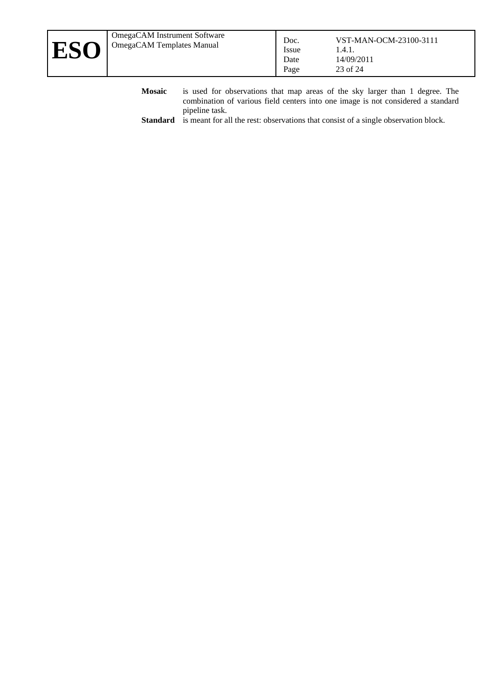- **Mosaic** is used for observations that map areas of the sky larger than 1 degree. The combination of various field centers into one image is not considered a standard pipeline task.
- **Standard** is meant for all the rest: observations that consist of a single observation block.